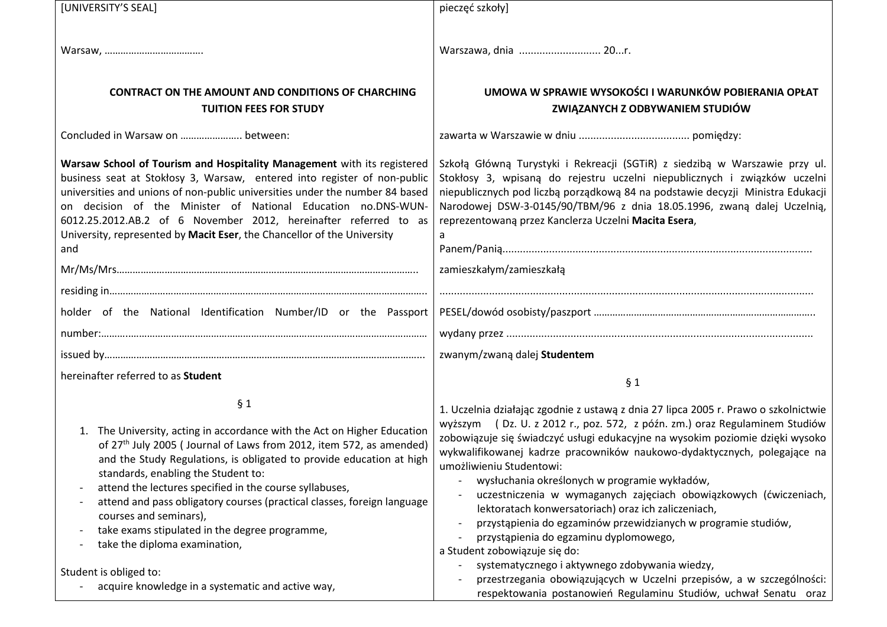| [UNIVERSITY'S SEAL]                                                                                                                                                                                                                                                                                                                                                                                                                                                                                                                                                                                     | pieczęć szkoły]                                                                                                                                                                                                                                                                                                                                                                                                                                                                                                                                                                                                                                                                                                                                                                                                                                                                     |
|---------------------------------------------------------------------------------------------------------------------------------------------------------------------------------------------------------------------------------------------------------------------------------------------------------------------------------------------------------------------------------------------------------------------------------------------------------------------------------------------------------------------------------------------------------------------------------------------------------|-------------------------------------------------------------------------------------------------------------------------------------------------------------------------------------------------------------------------------------------------------------------------------------------------------------------------------------------------------------------------------------------------------------------------------------------------------------------------------------------------------------------------------------------------------------------------------------------------------------------------------------------------------------------------------------------------------------------------------------------------------------------------------------------------------------------------------------------------------------------------------------|
|                                                                                                                                                                                                                                                                                                                                                                                                                                                                                                                                                                                                         | Warszawa, dnia  20r.                                                                                                                                                                                                                                                                                                                                                                                                                                                                                                                                                                                                                                                                                                                                                                                                                                                                |
| <b>CONTRACT ON THE AMOUNT AND CONDITIONS OF CHARCHING</b><br><b>TUITION FEES FOR STUDY</b>                                                                                                                                                                                                                                                                                                                                                                                                                                                                                                              | UMOWA W SPRAWIE WYSOKOŚCI I WARUNKÓW POBIERANIA OPŁAT<br>ZWIĄZANYCH Z ODBYWANIEM STUDIÓW                                                                                                                                                                                                                                                                                                                                                                                                                                                                                                                                                                                                                                                                                                                                                                                            |
| Concluded in Warsaw on  between:                                                                                                                                                                                                                                                                                                                                                                                                                                                                                                                                                                        |                                                                                                                                                                                                                                                                                                                                                                                                                                                                                                                                                                                                                                                                                                                                                                                                                                                                                     |
| Warsaw School of Tourism and Hospitality Management with its registered<br>business seat at Stokłosy 3, Warsaw, entered into register of non-public<br>universities and unions of non-public universities under the number 84 based<br>on decision of the Minister of National Education no.DNS-WUN-<br>6012.25.2012.AB.2 of 6 November 2012, hereinafter referred to as<br>University, represented by Macit Eser, the Chancellor of the University<br>and                                                                                                                                              | Szkołą Główną Turystyki i Rekreacji (SGTiR) z siedzibą w Warszawie przy ul.<br>Stokłosy 3, wpisaną do rejestru uczelni niepublicznych i związków uczelni<br>niepublicznych pod liczbą porządkową 84 na podstawie decyzji Ministra Edukacji<br>Narodowej DSW-3-0145/90/TBM/96 z dnia 18.05.1996, zwaną dalej Uczelnią,<br>reprezentowaną przez Kanclerza Uczelni Macita Esera,                                                                                                                                                                                                                                                                                                                                                                                                                                                                                                       |
|                                                                                                                                                                                                                                                                                                                                                                                                                                                                                                                                                                                                         | zamieszkałym/zamieszkałą                                                                                                                                                                                                                                                                                                                                                                                                                                                                                                                                                                                                                                                                                                                                                                                                                                                            |
|                                                                                                                                                                                                                                                                                                                                                                                                                                                                                                                                                                                                         |                                                                                                                                                                                                                                                                                                                                                                                                                                                                                                                                                                                                                                                                                                                                                                                                                                                                                     |
| holder of the National Identification Number/ID or the Passport                                                                                                                                                                                                                                                                                                                                                                                                                                                                                                                                         |                                                                                                                                                                                                                                                                                                                                                                                                                                                                                                                                                                                                                                                                                                                                                                                                                                                                                     |
|                                                                                                                                                                                                                                                                                                                                                                                                                                                                                                                                                                                                         |                                                                                                                                                                                                                                                                                                                                                                                                                                                                                                                                                                                                                                                                                                                                                                                                                                                                                     |
|                                                                                                                                                                                                                                                                                                                                                                                                                                                                                                                                                                                                         | zwanym/zwaną dalej Studentem                                                                                                                                                                                                                                                                                                                                                                                                                                                                                                                                                                                                                                                                                                                                                                                                                                                        |
| hereinafter referred to as Student                                                                                                                                                                                                                                                                                                                                                                                                                                                                                                                                                                      | § 1                                                                                                                                                                                                                                                                                                                                                                                                                                                                                                                                                                                                                                                                                                                                                                                                                                                                                 |
| § 1<br>1. The University, acting in accordance with the Act on Higher Education<br>of 27th July 2005 (Journal of Laws from 2012, item 572, as amended)<br>and the Study Regulations, is obligated to provide education at high<br>standards, enabling the Student to:<br>attend the lectures specified in the course syllabuses,<br>attend and pass obligatory courses (practical classes, foreign language<br>courses and seminars),<br>take exams stipulated in the degree programme,<br>take the diploma examination,<br>Student is obliged to:<br>acquire knowledge in a systematic and active way, | 1. Uczelnia działając zgodnie z ustawą z dnia 27 lipca 2005 r. Prawo o szkolnictwie<br>wyższym (Dz. U. z 2012 r., poz. 572, z późn. zm.) oraz Regulaminem Studiów<br>zobowiązuje się świadczyć usługi edukacyjne na wysokim poziomie dzięki wysoko<br>wykwalifikowanej kadrze pracowników naukowo-dydaktycznych, polegające na<br>umożliwieniu Studentowi:<br>wysłuchania określonych w programie wykładów,<br>uczestniczenia w wymaganych zajęciach obowiązkowych (ćwiczeniach,<br>lektoratach konwersatoriach) oraz ich zaliczeniach,<br>przystąpienia do egzaminów przewidzianych w programie studiów,<br>przystąpienia do egzaminu dyplomowego,<br>a Student zobowiązuje się do:<br>systematycznego i aktywnego zdobywania wiedzy,<br>przestrzegania obowiązujących w Uczelni przepisów, a w szczególności:<br>respektowania postanowień Regulaminu Studiów, uchwał Senatu oraz |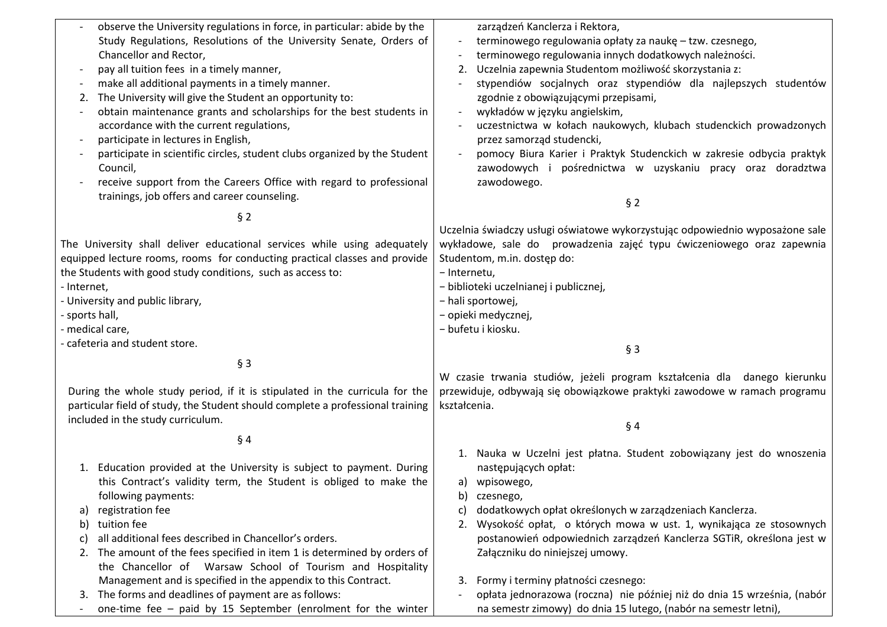| observe the University regulations in force, in particular: abide by the       | zarządzeń Kanclerza i Rektora,                                                       |
|--------------------------------------------------------------------------------|--------------------------------------------------------------------------------------|
| Study Regulations, Resolutions of the University Senate, Orders of             | terminowego regulowania opłaty za naukę – tzw. czesnego,<br>$\overline{\phantom{a}}$ |
| Chancellor and Rector,                                                         | terminowego regulowania innych dodatkowych należności.<br>$\overline{\phantom{a}}$   |
| pay all tuition fees in a timely manner,                                       | Uczelnia zapewnia Studentom możliwość skorzystania z:<br>2.                          |
| make all additional payments in a timely manner.                               | stypendiów socjalnych oraz stypendiów dla najlepszych studentów                      |
| The University will give the Student an opportunity to:<br>2.                  | zgodnie z obowiązującymi przepisami,                                                 |
| obtain maintenance grants and scholarships for the best students in            | wykładów w języku angielskim,<br>$\overline{\phantom{a}}$                            |
| accordance with the current regulations,                                       | uczestnictwa w kołach naukowych, klubach studenckich prowadzonych                    |
| participate in lectures in English,                                            | przez samorząd studencki,                                                            |
| participate in scientific circles, student clubs organized by the Student      | pomocy Biura Karier i Praktyk Studenckich w zakresie odbycia praktyk                 |
| Council,                                                                       | zawodowych i pośrednictwa w uzyskaniu pracy oraz doradztwa                           |
| receive support from the Careers Office with regard to professional            | zawodowego.                                                                          |
| trainings, job offers and career counseling.                                   |                                                                                      |
|                                                                                | § 2                                                                                  |
| $§$ 2                                                                          |                                                                                      |
|                                                                                | Uczelnia świadczy usługi oświatowe wykorzystując odpowiednio wyposażone sale         |
| The University shall deliver educational services while using adequately       | wykładowe, sale do prowadzenia zajęć typu ćwiczeniowego oraz zapewnia                |
| equipped lecture rooms, rooms for conducting practical classes and provide     | Studentom, m.in. dostęp do:                                                          |
| the Students with good study conditions, such as access to:                    | - Internetu,                                                                         |
| - Internet,                                                                    | - biblioteki uczelnianej i publicznej,                                               |
| - University and public library,                                               | - hali sportowej,                                                                    |
| - sports hall,                                                                 | - opieki medycznej,                                                                  |
| - medical care,                                                                | - bufetu i kiosku.                                                                   |
| - cafeteria and student store.                                                 | $§$ 3                                                                                |
| $§$ 3                                                                          |                                                                                      |
|                                                                                | W czasie trwania studiów, jeżeli program kształcenia dla danego kierunku             |
| During the whole study period, if it is stipulated in the curricula for the    | przewiduje, odbywają się obowiązkowe praktyki zawodowe w ramach programu             |
| particular field of study, the Student should complete a professional training | kształcenia.                                                                         |
| included in the study curriculum.                                              |                                                                                      |
|                                                                                | §4                                                                                   |
| § 4                                                                            |                                                                                      |
|                                                                                | 1. Nauka w Uczelni jest płatna. Student zobowiązany jest do wnoszenia                |
| 1. Education provided at the University is subject to payment. During          | następujących opłat:                                                                 |
| this Contract's validity term, the Student is obliged to make the              | a) wpisowego,                                                                        |
| following payments:                                                            | czesnego,<br>b)                                                                      |
| registration fee<br>a)<br>tuition fee                                          | dodatkowych opłat określonych w zarządzeniach Kanclerza.<br>C)                       |
| b)<br>all additional fees described in Chancellor's orders.                    | Wysokość opłat, o których mowa w ust. 1, wynikająca ze stosownych<br>2.              |
| $\mathsf{C}$                                                                   | postanowień odpowiednich zarządzeń Kanclerza SGTiR, określona jest w                 |
| The amount of the fees specified in item 1 is determined by orders of<br>2.    | Załączniku do niniejszej umowy.                                                      |
| the Chancellor of Warsaw School of Tourism and Hospitality                     |                                                                                      |
| Management and is specified in the appendix to this Contract.                  | Formy i terminy płatności czesnego:<br>3.                                            |
| 3. The forms and deadlines of payment are as follows:                          | opłata jednorazowa (roczna) nie później niż do dnia 15 września, (nabór              |

- one-time fee – paid by 15 September (enrolment for the winter

- opłata jednorazowa (roczna) nie później niż do dnia 15 września, (nabór na semestr zimowy) do dnia 15 lutego, (nabór na semestr letni),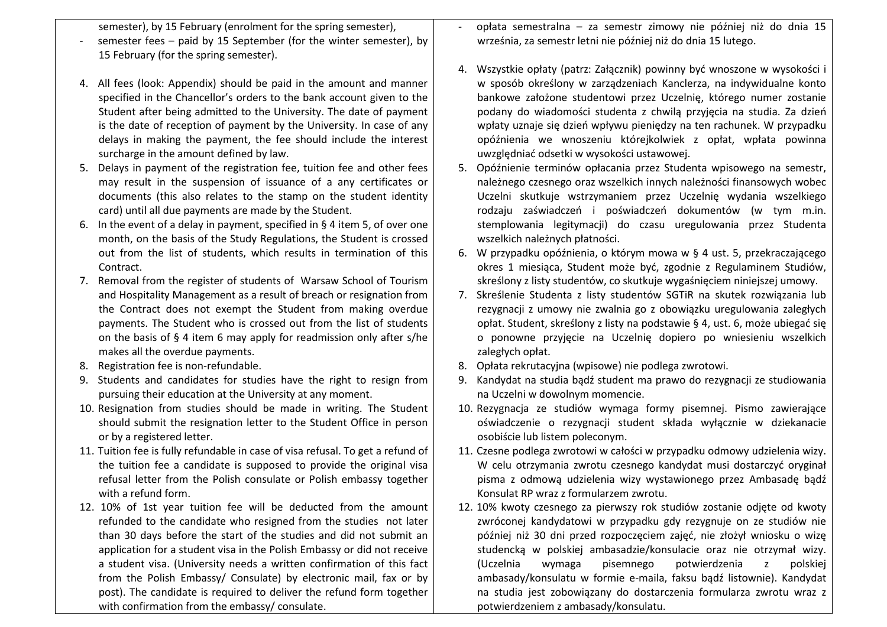semester), by 15 February (enrolment for the spring semester),

- semester fees paid by 15 September (for the winter semester), by 15 February (for the spring semester).
- 4. All fees (look: Appendix) should be paid in the amount and manner specified in the Chancellor's orders to the bank account given to the Student after being admitted to the University. The date of payment is the date of reception of payment by the University. In case of any delays in making the payment, the fee should include the interest surcharge in the amount defined by law.
- 5. Delays in payment of the registration fee, tuition fee and other fees may result in the suspension of issuance of a any certificates or documents (this also relates to the stamp on the student identity card) until all due payments are made by the Student.
- 6. In the event of a delay in payment, specified in § 4 item 5, of over one month, on the basis of the Study Regulations, the Student is crossed out from the list of students, which results in termination of this Contract.
- 7. Removal from the register of students of Warsaw School of Tourism and Hospitality Management as a result of breach or resignation from the Contract does not exempt the Student from making overdue payments. The Student who is crossed out from the list of students on the basis of § 4 item 6 may apply for readmission only after s/he makes all the overdue payments.
- 8. Registration fee is non-refundable.
- 9. Students and candidates for studies have the right to resign from pursuing their education at the University at any moment.
- 10. Resignation from studies should be made in writing. The Student should submit the resignation letter to the Student Office in person or by a registered letter.
- 11. Tuition fee is fully refundable in case of visa refusal. To get a refund of the tuition fee a candidate is supposed to provide the original visa refusal letter from the Polish consulate or Polish embassy together with a refund form.
- 12. 10% of 1st year tuition fee will be deducted from the amount refunded to the candidate who resigned from the studies not later than 30 days before the start of the studies and did not submit an application for a student visa in the Polish Embassy or did not receive a student visa. (University needs a written confirmation of this fact from the Polish Embassy/ Consulate) by electronic mail, fax or by post). The candidate is required to deliver the refund form together with confirmation from the embassy/ consulate.
- opłata semestralna za semestr zimowy nie później niż do dnia 15 września, za semestr letni nie później niż do dnia 15 lutego.
- 4. Wszystkie opłaty (patrz: Załącznik) powinny być wnoszone w wysokości i w sposób określony w zarządzeniach Kanclerza, na indywidualne konto bankowe założone studentowi przez Uczelnię, którego numer zostanie podany do wiadomości studenta z chwilą przyjęcia na studia. Za dzień wpłaty uznaje się dzień wpływu pieniędzy na ten rachunek. W przypadku opóźnienia we wnoszeniu którejkolwiek z opłat, wpłata powinna uwzględniać odsetki w wysokości ustawowej.
- 5. Opóźnienie terminów opłacania przez Studenta wpisowego na semestr, należnego czesnego oraz wszelkich innych należności finansowych wobec Uczelni skutkuje wstrzymaniem przez Uczelnię wydania wszelkiego rodzaju zaświadczeń i poświadczeń dokumentów (w tym m.in. stemplowania legitymacji) do czasu uregulowania przez Studenta wszelkich należnych płatności.
- 6. W przypadku opóźnienia, o którym mowa w § 4 ust. 5, przekraczającego okres 1 miesiąca, Student może być, zgodnie z Regulaminem Studiów, skreślony z listy studentów, co skutkuje wygaśnięciem niniejszej umowy.
- 7. Skreślenie Studenta z listy studentów SGTiR na skutek rozwiązania lub rezygnacji z umowy nie zwalnia go z obowiązku uregulowania zaległych opłat. Student, skreślony z listy na podstawie § 4, ust. 6, może ubiegać się o ponowne przyjęcie na Uczelnię dopiero po wniesieniu wszelkich zaległych opłat.
- 8. Opłata rekrutacyjna (wpisowe) nie podlega zwrotowi.
- 9. Kandydat na studia bądź student ma prawo do rezygnacji ze studiowania na Uczelni w dowolnym momencie.
- 10. Rezygnacja ze studiów wymaga formy pisemnej. Pismo zawierające oświadczenie o rezygnacji student składa wyłącznie w dziekanacie osobiście lub listem poleconym.
- 11. Czesne podlega zwrotowi w całości w przypadku odmowy udzielenia wizy. W celu otrzymania zwrotu czesnego kandydat musi dostarczyć oryginał pisma z odmową udzielenia wizy wystawionego przez Ambasadę bądź Konsulat RP wraz z formularzem zwrotu.
- 12. 10% kwoty czesnego za pierwszy rok studiów zostanie odjęte od kwoty zwróconej kandydatowi w przypadku gdy rezygnuje on ze studiów nie później niż 30 dni przed rozpoczęciem zajęć, nie złożył wniosku o wizę studencką w polskiej ambasadzie/konsulacie oraz nie otrzymał wizy. (Uczelnia wymaga pisemnego potwierdzenia z polskiej ambasady/konsulatu w formie e-maila, faksu bądź listownie). Kandydat na studia jest zobowiązany do dostarczenia formularza zwrotu wraz z potwierdzeniem z ambasady/konsulatu.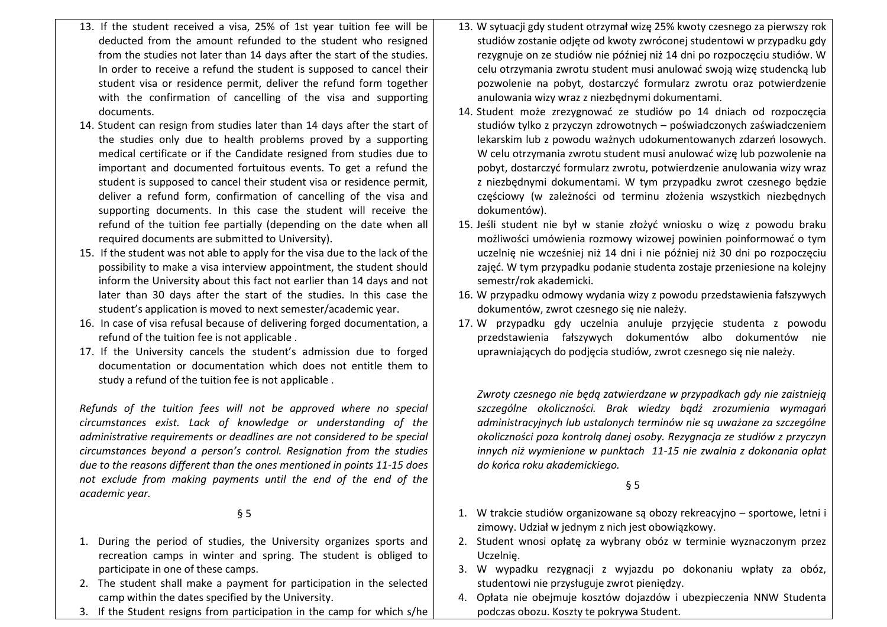- 13. If the student received a visa, 25% of 1st year tuition fee will be deducted from the amount refunded to the student who resigned from the studies not later than 14 days after the start of the studies. In order to receive a refund the student is supposed to cancel their student visa or residence permit, deliver the refund form together with the confirmation of cancelling of the visa and supporting documents.
- 14. Student can resign from studies later than 14 days after the start of the studies only due to health problems proved by a supporting medical certificate or if the Candidate resigned from studies due to important and documented fortuitous events. To get a refund the student is supposed to cancel their student visa or residence permit, deliver a refund form, confirmation of cancelling of the visa and supporting documents. In this case the student will receive the refund of the tuition fee partially (depending on the date when all required documents are submitted to University).
- 15. If the student was not able to apply for the visa due to the lack of the possibility to make a visa interview appointment, the student should inform the University about this fact not earlier than 14 days and not later than 30 days after the start of the studies. In this case the student's application is moved to next semester/academic year.
- 16. In case of visa refusal because of delivering forged documentation, a refund of the tuition fee is not applicable .
- 17. If the University cancels the student's admission due to forged documentation or documentation which does not entitle them to study a refund of the tuition fee is not applicable .

*Refunds of the tuition fees will not be approved where no special circumstances exist. Lack of knowledge or understanding of the administrative requirements or deadlines are not considered to be special circumstances beyond a person's control. Resignation from the studies due to the reasons different than the ones mentioned in points 11-15 does not exclude from making payments until the end of the end of the academic year.*

## § 5

- 1. During the period of studies, the University organizes sports and recreation camps in winter and spring. The student is obliged to participate in one of these camps.
- 2. The student shall make a payment for participation in the selected camp within the dates specified by the University.
- 3. If the Student resigns from participation in the camp for which s/he
- 13. W sytuacji gdy student otrzymał wizę 25% kwoty czesnego za pierwszy rok studiów zostanie odjęte od kwoty zwróconej studentowi w przypadku gdy rezygnuje on ze studiów nie później niż 14 dni po rozpoczęciu studiów. W celu otrzymania zwrotu student musi anulować swoją wizę studencką lub pozwolenie na pobyt, dostarczyć formularz zwrotu oraz potwierdzenie anulowania wizy wraz z niezbędnymi dokumentami.
- 14. Student może zrezygnować ze studiów po 14 dniach od rozpoczęcia studiów tylko z przyczyn zdrowotnych – poświadczonych zaświadczeniem lekarskim lub z powodu ważnych udokumentowanych zdarzeń losowych. W celu otrzymania zwrotu student musi anulować wizę lub pozwolenie na pobyt, dostarczyć formularz zwrotu, potwierdzenie anulowania wizy wraz z niezbędnymi dokumentami. W tym przypadku zwrot czesnego będzie częściowy (w zależności od terminu złożenia wszystkich niezbędnych dokumentów).
- 15. Jeśli student nie był w stanie złożyć wniosku o wizę z powodu braku możliwości umówienia rozmowy wizowej powinien poinformować o tym uczelnię nie wcześniej niż 14 dni i nie później niż 30 dni po rozpoczęciu zajęć. W tym przypadku podanie studenta zostaje przeniesione na kolejny semestr/rok akademicki.
- 16. W przypadku odmowy wydania wizy z powodu przedstawienia fałszywych dokumentów, zwrot czesnego się nie należy.
- 17. W przypadku gdy uczelnia anuluje przyjęcie studenta z powodu przedstawienia fałszywych dokumentów albo dokumentów nie uprawniających do podjęcia studiów, zwrot czesnego się nie należy.

*Zwroty czesnego nie będą zatwierdzane w przypadkach gdy nie zaistnieją szczególne okoliczności. Brak wiedzy bądź zrozumienia wymagań administracyjnych lub ustalonych terminów nie są uważane za szczególne okoliczności poza kontrolą danej osoby. Rezygnacja ze studiów z przyczyn innych niż wymienione w punktach 11-15 nie zwalnia z dokonania opłat do końca roku akademickiego.*

§ 5

- 1. W trakcie studiów organizowane są obozy rekreacyjno sportowe, letni i zimowy. Udział w jednym z nich jest obowiązkowy.
- 2. Student wnosi opłatę za wybrany obóz w terminie wyznaczonym przez Uczelnię.
- 3. W wypadku rezygnacji z wyjazdu po dokonaniu wpłaty za obóz, studentowi nie przysługuje zwrot pieniędzy.
- 4. Opłata nie obejmuje kosztów dojazdów i ubezpieczenia NNW Studenta podczas obozu. Koszty te pokrywa Student.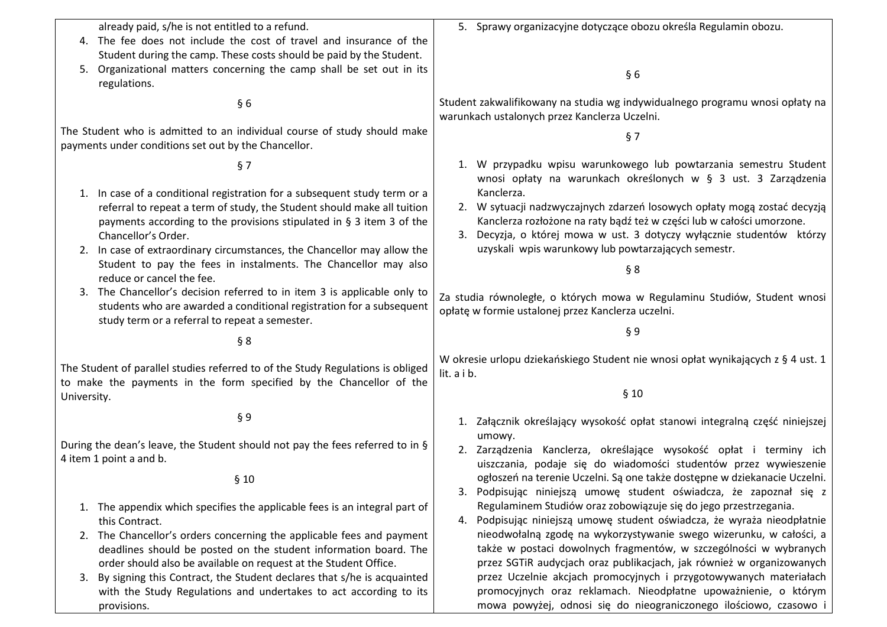| already paid, s/he is not entitled to a refund.                                                                                                                        | 5. Sprawy organizacyjne dotyczące obozu określa Regulamin obozu.                                                                                                                                                           |
|------------------------------------------------------------------------------------------------------------------------------------------------------------------------|----------------------------------------------------------------------------------------------------------------------------------------------------------------------------------------------------------------------------|
| 4. The fee does not include the cost of travel and insurance of the                                                                                                    |                                                                                                                                                                                                                            |
| Student during the camp. These costs should be paid by the Student.                                                                                                    |                                                                                                                                                                                                                            |
| 5. Organizational matters concerning the camp shall be set out in its<br>regulations.                                                                                  | §6                                                                                                                                                                                                                         |
| §6                                                                                                                                                                     | Student zakwalifikowany na studia wg indywidualnego programu wnosi opłaty na<br>warunkach ustalonych przez Kanclerza Uczelni.                                                                                              |
| The Student who is admitted to an individual course of study should make<br>payments under conditions set out by the Chancellor.                                       | § 7                                                                                                                                                                                                                        |
| §7                                                                                                                                                                     | 1. W przypadku wpisu warunkowego lub powtarzania semestru Student<br>wnosi opłaty na warunkach określonych w § 3 ust. 3 Zarządzenia                                                                                        |
| 1. In case of a conditional registration for a subsequent study term or a                                                                                              | Kanclerza.                                                                                                                                                                                                                 |
| referral to repeat a term of study, the Student should make all tuition<br>payments according to the provisions stipulated in § 3 item 3 of the<br>Chancellor's Order. | 2. W sytuacji nadzwyczajnych zdarzeń losowych opłaty mogą zostać decyzją<br>Kanclerza rozłożone na raty bądź też w części lub w całości umorzone.<br>3. Decyzja, o której mowa w ust. 3 dotyczy wyłącznie studentów którzy |
| 2. In case of extraordinary circumstances, the Chancellor may allow the                                                                                                | uzyskali wpis warunkowy lub powtarzających semestr.                                                                                                                                                                        |
| Student to pay the fees in instalments. The Chancellor may also                                                                                                        | § 8                                                                                                                                                                                                                        |
| reduce or cancel the fee.                                                                                                                                              |                                                                                                                                                                                                                            |
| 3. The Chancellor's decision referred to in item 3 is applicable only to<br>students who are awarded a conditional registration for a subsequent                       | Za studia równoległe, o których mowa w Regulaminu Studiów, Student wnosi<br>opłatę w formie ustalonej przez Kanclerza uczelni.                                                                                             |
| study term or a referral to repeat a semester.                                                                                                                         | §9                                                                                                                                                                                                                         |
| § 8                                                                                                                                                                    |                                                                                                                                                                                                                            |
| The Student of parallel studies referred to of the Study Regulations is obliged<br>to make the payments in the form specified by the Chancellor of the                 | W okresie urlopu dziekańskiego Student nie wnosi opłat wynikających z § 4 ust. 1<br>lit. a i b.                                                                                                                            |
| University.                                                                                                                                                            | §10                                                                                                                                                                                                                        |
| § 9                                                                                                                                                                    | 1. Załącznik określający wysokość opłat stanowi integralną część niniejszej                                                                                                                                                |
| During the dean's leave, the Student should not pay the fees referred to in §                                                                                          | umowy.                                                                                                                                                                                                                     |
| 4 item 1 point a and b.                                                                                                                                                | 2. Zarządzenia Kanclerza, określające wysokość opłat i terminy ich<br>uiszczania, podaje się do wiadomości studentów przez wywieszenie                                                                                     |
|                                                                                                                                                                        | ogłoszeń na terenie Uczelni. Są one także dostępne w dziekanacie Uczelni.                                                                                                                                                  |
| §10                                                                                                                                                                    | 3. Podpisując niniejszą umowę student oświadcza, że zapoznał się z                                                                                                                                                         |
| 1. The appendix which specifies the applicable fees is an integral part of                                                                                             | Regulaminem Studiów oraz zobowiązuje się do jego przestrzegania.                                                                                                                                                           |
| this Contract.                                                                                                                                                         | Podpisując niniejszą umowę student oświadcza, że wyraża nieodpłatnie<br>4.                                                                                                                                                 |
| 2. The Chancellor's orders concerning the applicable fees and payment                                                                                                  | nieodwołalną zgodę na wykorzystywanie swego wizerunku, w całości, a                                                                                                                                                        |
| deadlines should be posted on the student information board. The                                                                                                       | także w postaci dowolnych fragmentów, w szczególności w wybranych                                                                                                                                                          |
| order should also be available on request at the Student Office.                                                                                                       | przez SGTiR audycjach oraz publikacjach, jak również w organizowanych                                                                                                                                                      |
| By signing this Contract, the Student declares that s/he is acquainted<br>3.                                                                                           | przez Uczelnie akcjach promocyjnych i przygotowywanych materiałach                                                                                                                                                         |
| with the Study Regulations and undertakes to act according to its                                                                                                      | promocyjnych oraz reklamach. Nieodpłatne upoważnienie, o którym                                                                                                                                                            |
| provisions.                                                                                                                                                            | mowa powyżej, odnosi się do nieograniczonego ilościowo, czasowo i                                                                                                                                                          |